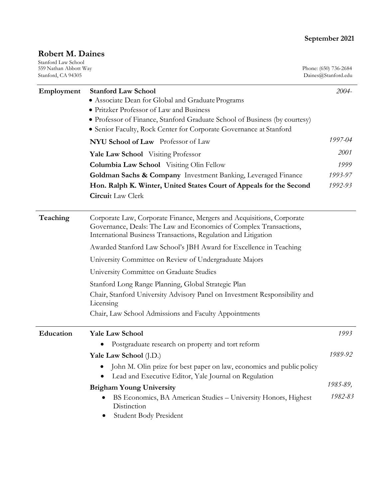## **September 2021**

# **Robert M. Daines**

| Stanford Law School<br>559 Nathan Abbott Way<br>Stanford, CA 94305 |                                                                                                                                                                                                                                                                                 | Phone: (650) 736-2684<br>Daines@Stanford.edu |
|--------------------------------------------------------------------|---------------------------------------------------------------------------------------------------------------------------------------------------------------------------------------------------------------------------------------------------------------------------------|----------------------------------------------|
| Employment                                                         | <b>Stanford Law School</b><br>• Associate Dean for Global and Graduate Programs<br>• Pritzker Professor of Law and Business<br>• Professor of Finance, Stanford Graduate School of Business (by courtesy)<br>• Senior Faculty, Rock Center for Corporate Governance at Stanford | 2004-                                        |
|                                                                    | NYU School of Law Professor of Law                                                                                                                                                                                                                                              | 1997-04                                      |
|                                                                    | Yale Law School Visiting Professor<br><b>Columbia Law School</b> Visiting Olin Fellow<br>Goldman Sachs & Company Investment Banking, Leveraged Finance                                                                                                                          | <i>2001</i><br>1999<br>1993-97               |
|                                                                    | Hon. Ralph K. Winter, United States Court of Appeals for the Second<br><b>Circuit</b> Law Clerk                                                                                                                                                                                 | 1992-93                                      |
| Teaching                                                           | Corporate Law, Corporate Finance, Mergers and Acquisitions, Corporate<br>Governance, Deals: The Law and Economics of Complex Transactions,<br>International Business Transactions, Regulation and Litigation                                                                    |                                              |
|                                                                    | Awarded Stanford Law School's JBH Award for Excellence in Teaching                                                                                                                                                                                                              |                                              |
|                                                                    | University Committee on Review of Undergraduate Majors                                                                                                                                                                                                                          |                                              |
|                                                                    | University Committee on Graduate Studies                                                                                                                                                                                                                                        |                                              |
|                                                                    | Stanford Long Range Planning, Global Strategic Plan<br>Chair, Stanford University Advisory Panel on Investment Responsibility and<br>Licensing<br>Chair, Law School Admissions and Faculty Appointments                                                                         |                                              |
| Education                                                          | <b>Yale Law School</b>                                                                                                                                                                                                                                                          | 1993                                         |
|                                                                    | Postgraduate research on property and tort reform<br>Yale Law School (J.D.)<br>John M. Olin prize for best paper on law, economics and public policy                                                                                                                            | 1989-92                                      |
|                                                                    | Lead and Executive Editor, Yale Journal on Regulation<br><b>Brigham Young University</b><br>BS Economics, BA American Studies - University Honors, Highest<br>Distinction                                                                                                       | 1985-89,<br>1982-83                          |
|                                                                    | <b>Student Body President</b>                                                                                                                                                                                                                                                   |                                              |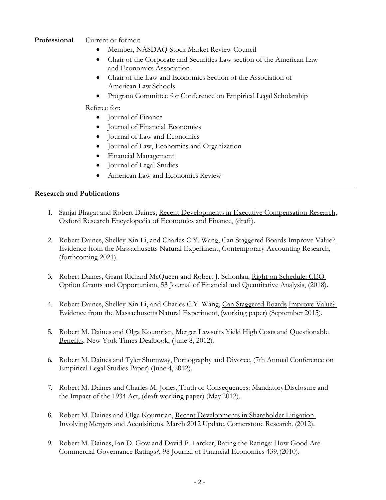### **Professional** Current or former:

- Member, NASDAQ Stock Market Review Council
- Chair of the Corporate and Securities Law section of the American Law and Economics Association
- Chair of the Law and Economics Section of the Association of American Law Schools
- Program Committee for Conference on Empirical Legal Scholarship

Referee for:

- Journal of Finance
- Journal of Financial Economics
- Journal of Law and Economics
- Journal of Law, Economics and Organization
- Financial Management
- Journal of Legal Studies
- American Law and Economics Review

#### **Research and Publications**

- 1. Sanjai Bhagat and Robert Daines, Recent Developments in Executive Compensation Research, Oxford Research Encyclopedia of Economics and Finance, (draft).
- 2. Robert Daines, Shelley Xin Li, and Charles C.Y. Wang, Can Staggered Boards Improve Value? Evidence from the Massachusetts Natural Experiment, Contemporary Accounting Research, (forthcoming 2021).
- 3. Robert Daines, Grant Richard McQueen and Robert J. Schonlau, Right on Schedule: CEO Option Grants and Opportunism, 53 Journal of Financial and Quantitative Analysis, (2018).
- 4. Robert Daines, Shelley Xin Li, and Charles C.Y. Wang, Can Staggered Boards Improve Value? Evidence from the Massachusetts Natural Experiment, (working paper) (September 2015).
- 5. Robert M. Daines and Olga Koumrian, Merger Lawsuits Yield High Costs and Questionable Benefits, New York Times Dealbook, (June 8, 2012).
- 6. Robert M. Daines and Tyler Shumway, Pornography and Divorce, (7th Annual Conference on Empirical Legal Studies Paper) (June 4,2012).
- 7. Robert M. Daines and Charles M. Jones, Truth or Consequences: MandatoryDisclosure and the Impact of the 1934 Act, (draft working paper) (May 2012).
- 8. Robert M. Daines and Olga Koumrian, Recent Developments in Shareholder Litigation Involving Mergers and Acquisitions. March 2012 Update, Cornerstone Research, (2012).
- 9. Robert M. Daines, Ian D. Gow and David F. Larcker, Rating the Ratings: How Good Are Commercial Governance Ratings?, 98 Journal of Financial Economics 439,(2010).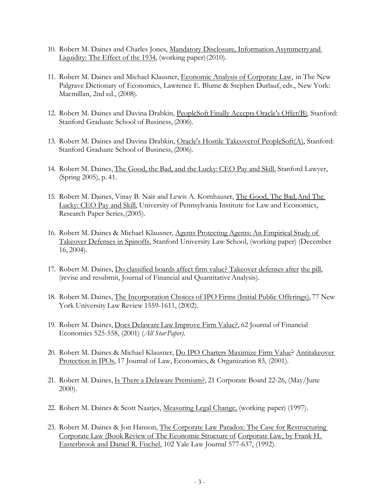- 10. Robert M. Daines and Charles Jones, Mandatory Disclosure, Information Asymmetryand Liquidity: The Effect of the 1934, (working paper)(2010).
- 11. Robert M. Daines and Michael Klausner, Economic Analysis of Corporate Law, in The New Palgrave Dictionary of Economics, Lawrence E. Blume & Stephen Durlauf, eds., New York: Macmillan, 2nd ed., (2008).
- 12. Robert M. Daines and Davina Drabkin, PeopleSoft Finally Accepts Oracle's Offer(B), Stanford: Stanford Graduate School of Business, (2006).
- 13. Robert M. Daines and Davina Drabkin, Oracle's Hostile Takeoverof PeopleSoft(A), Stanford: Stanford Graduate School of Business, (2006).
- 14. Robert M. Daines, The Good, the Bad, and the Lucky: CEO Pay and Skill, Stanford Lawyer, (Spring 2005), p. 41.
- 15. Robert M. Daines, Vinay B. Nair and Lewis A. Kornhauser, The Good, The Bad,And The Lucky: CEO Pay and Skill, University of Pennsylvania Institute for Law and Economics, Research Paper Series,(2005).
- 16. Robert M. Daines & Michael Klausner, Agents Protecting Agents: An Empirical Study of Takeover Defenses in Spinoffs, Stanford University Law School, (working paper) (December 16, 2004).
- 17. Robert M. Daines, Do classified boards affect firm value? Takeover defenses after the pill, (revise and resubmit, Journal of Financial and QuantitativeAnalysis).
- 18. Robert M. Daines, The Incorporation Choices of IPO Firms (Initial Public Offerings), 77 New York University Law Review 1559-1611, (2002).
- 19. Robert M. Daines, Does Delaware Law Improve Firm Value?, 62 Journal of Financial Economics 525-558, (2001) (*All Star Paper)*.
- 20. Robert M. Daines & Michael Klausner, Do IPO Charters Maximize Firm Value? Antitakeover Protection in IPOs, 17 Journal of Law, Economics, & Organization 83, (2001).
- 21. Robert M. Daines, Is There a Delaware Premium?, 21 Corporate Board 22-26, (May/June 2000).
- 22. Robert M. Daines & Scott Naatjes, Measuring Legal Change, (working paper) (1997).
- 23. Robert M. Daines & Jon Hanson, The Corporate Law Paradox: The Case for Restructuring Corporate Law (Book Review of The Economic Structure of Corporate Law, by Frank H. Easterbrook and Daniel R. Fischel, 102 Yale Law Journal 577-637, (1992).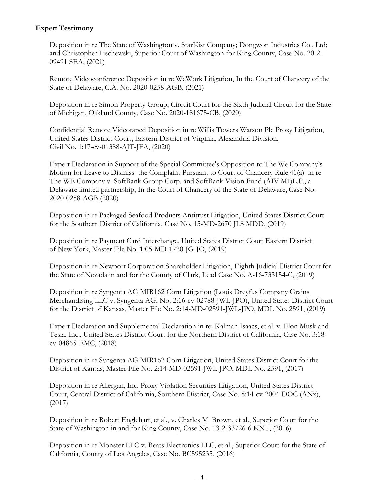#### **Expert Testimony**

Deposition in re The State of Washington v. StarKist Company; Dongwon Industries Co., Ltd; and Christopher Lischewski, Superior Court of Washington for King County, Case No. 20-2- 09491 SEA, (2021)

Remote Videoconference Deposition in re WeWork Litigation, In the Court of Chancery of the State of Delaware, C.A. No. 2020-0258-AGB, (2021)

Deposition in re Simon Property Group, Circuit Court for the Sixth Judicial Circuit for the State of Michigan, Oakland County, Case No. 2020-181675-CB, (2020)

Confidential Remote Videotaped Deposition in re Willis Towers Watson Plc Proxy Litigation, United States District Court, Eastern District of Virginia, Alexandria Division, Civil No. 1:17-cv-01388-AJT-JFA, (2020)

Expert Declaration in Support of the Special Committee's Opposition to The We Company's Motion for Leave to Dismiss the Complaint Pursuant to Court of Chancery Rule 41(a) in re The WE Company v. SoftBank Group Corp. and SoftBank Vision Fund (AIV M1)L.P., a Delaware limited partnership, In the Court of Chancery of the State of Delaware, Case No. 2020-0258-AGB (2020)

Deposition in re Packaged Seafood Products Antitrust Litigation, United States District Court for the Southern District of California, Case No. 15-MD-2670 JLS MDD, (2019)

Deposition in re Payment Card Interchange, United States District Court Eastern District of New York, Master File No. 1:05-MD-1720-JG-JO, (2019)

Deposition in re Newport Corporation Shareholder Litigation, Eighth Judicial District Court for the State of Nevada in and for the County of Clark, Lead Case No. A-16-733154-C, (2019)

Deposition in re Syngenta AG MIR162 Corn Litigation (Louis Dreyfus Company Grains Merchandising LLC v. Syngenta AG, No. 2:16-cv-02788-JWL-JPO), United States District Court for the District of Kansas, Master File No. 2:14-MD-02591-JWL-JPO, MDL No. 2591, (2019)

Expert Declaration and Supplemental Declaration in re: Kalman Isaacs, et al. v. Elon Musk and Tesla, Inc., United States District Court for the Northern District of California, Case No. 3:18 cv-04865-EMC, (2018)

Deposition in re Syngenta AG MIR162 Corn Litigation, United States District Court for the District of Kansas, Master File No. 2:14-MD-02591-JWL-JPO, MDL No. 2591, (2017)

Deposition in re Allergan, Inc. Proxy Violation Securities Litigation, United States District Court, Central District of California, Southern District, Case No. 8:14-cv-2004-DOC (ANx), (2017)

Deposition in re Robert Englehart, et al., v. Charles M. Brown, et al., Superior Court for the State of Washington in and for King County, Case No. 13-2-33726-6 KNT, (2016)

Deposition in re Monster LLC v. Beats Electronics LLC, et al., Superior Court for the State of California, County of Los Angeles, Case No. BC595235, (2016)